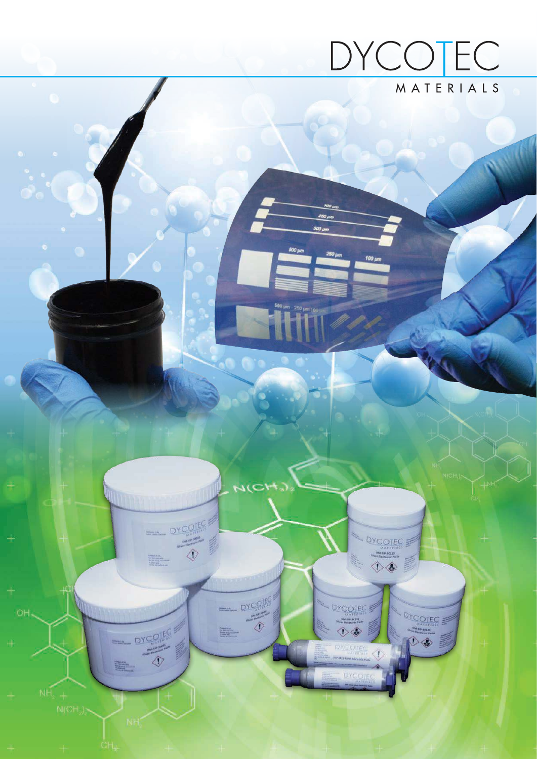

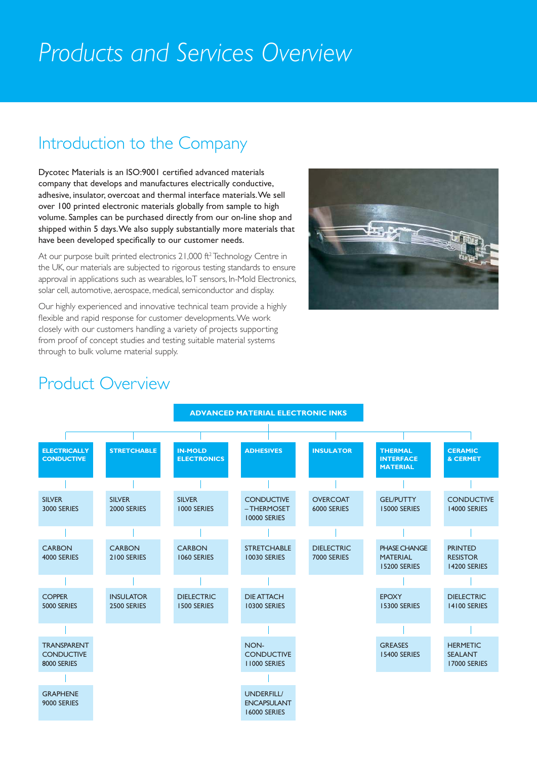# *Products and Services Overview*

## Introduction to the Company

Dycotec Materials is an ISO:9001 certified advanced materials company that develops and manufactures electrically conductive, adhesive, insulator, overcoat and thermal interface materials. We sell over 100 printed electronic materials globally from sample to high volume. Samples can be purchased directly from our on-line shop and shipped within 5 days. We also supply substantially more materials that have been developed specifically to our customer needs.

At our purpose built printed electronics 21,000 ft<sup>2</sup> Technology Centre in the UK, our materials are subjected to rigorous testing standards to ensure approval in applications such as wearables, IoT sensors, In-Mold Electronics, solar cell, automotive, aerospace, medical, semiconductor and display.

Our highly experienced and innovative technical team provide a highly flexible and rapid response for customer developments. We work closely with our customers handling a variety of projects supporting from proof of concept studies and testing suitable material systems through to bulk volume material supply.



#### Product Overview

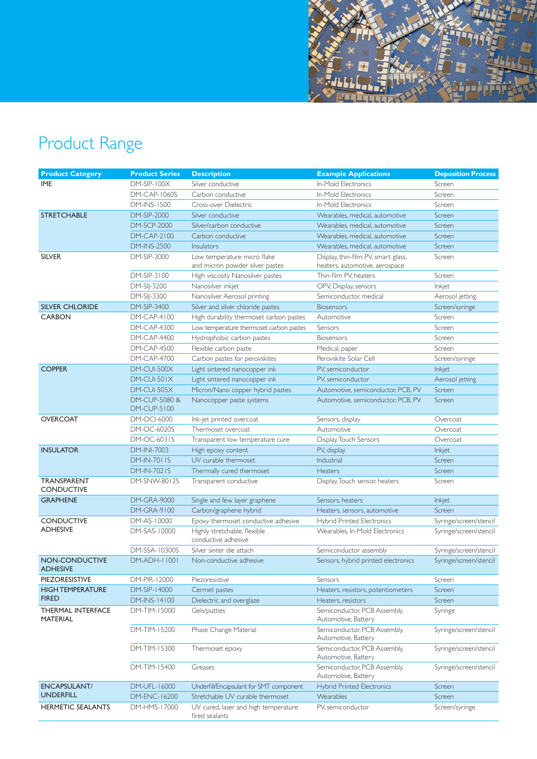

# Product Range

| <b>Product Category</b>                     | <b>Product Series</b>               | <b>Description</b>                                     | <b>Example Applications</b>                         | <b>Deposition Process</b> |
|---------------------------------------------|-------------------------------------|--------------------------------------------------------|-----------------------------------------------------|---------------------------|
| <b>IME</b>                                  | <b>DM-SIP-100X</b>                  | Silver conductive                                      | <b>In-Mold Flectronics</b>                          | Screen                    |
|                                             | <b>DM-CAP-1060S</b>                 | Carbon conductive                                      | In-Mold Electronics                                 | Screen                    |
|                                             | <b>DM-INS-1500</b>                  | Cross-over Dielectric                                  | In-Mold Electronics                                 | Screen                    |
| <b>STRETCHABLE</b>                          | <b>DM-SIP-2000</b>                  | Silver conductive                                      | Wearables, medical, automotive                      | Screen                    |
|                                             | <b>DM-SCP-2000</b>                  | Silver/carbon conductive                               | Wearables, medical, automotive                      | Screen                    |
|                                             | <b>DM-CAP-2100</b>                  | Carbon conductive                                      | Wearables, medical, automotive                      | Screen                    |
|                                             | <b>DM-INS-2500</b>                  | <b>Insulators</b>                                      | Wearables, medical, automotive                      | Screen                    |
| <b>SILVER</b>                               | DM-SIP-3000                         | Low temperature micro flake                            | Display, thin-film PV, smart glass,                 | Screen                    |
|                                             |                                     | and micron powder silver pastes                        | heaters, automotive, aerospace                      |                           |
|                                             | DM-SIP-3100                         | High viscosity Nanosilver pastes                       | Thin-film PV, heaters                               | Screen                    |
|                                             | DM-SIJ-3200                         | Nanosilver inkjet                                      | OPV, Display, sensors                               | Inkjet                    |
|                                             | DM-SIJ-3300                         | Nanosilver Aerosol printing                            | Semiconductor, medical                              | Aerosol jetting           |
| <b>SILVER CHLORIDE</b>                      | DM-SIP-3400                         | Silver and silver chloride pastes                      | <b>Biosensors</b>                                   | Screen/syringe            |
| <b>CARBON</b>                               | DM-CAP-4100                         | High durability thermoset carbon pastes                | Automotive                                          | Screen                    |
|                                             | <b>DM-CAP-4300</b>                  | Low temperature thermoset carbon pastes                | Sensors                                             | Screen                    |
|                                             | <b>DM-CAP-4400</b>                  | Hydrophobic carbon pastes                              | <b>Biosensors</b>                                   | Screen                    |
|                                             | <b>DM-CAP-4500</b>                  | Flexible carbon paste                                  | Medical, paper                                      | Screen                    |
|                                             | <b>DM-CAP-4700</b>                  | Carbon pastes for perovskites                          | Perovskite Solar Cell                               | Screen/syringe            |
| <b>COPPER</b>                               | DM-CUI-500X                         | Light sintered nanocopper ink                          | PV. semiconductor                                   | <b>Inkjet</b>             |
|                                             | $DM$ -CUI-501 $X$                   | Light sintered nanocopper ink                          | PV. semiconductor                                   | Aerosol jetting           |
|                                             | DM-CUI-505X                         | Micron/Nano copper hybrid pastes                       | Automotive, semiconductor, PCB, PV                  | Screen                    |
|                                             | DM-CUP-5080 &<br><b>DM-CUP-5100</b> | Nanocopper paste systems                               | Automotive, semiconductor, PCB, PV                  | Screen                    |
| <b>OVERCOAT</b>                             | DM-OCI-6000                         | Ink-jet printed overcoat                               | Sensors, display                                    | Overcoat                  |
|                                             | DM-OC-6020S                         | Thermoset overcoat                                     | Automotive                                          | Overcoat                  |
|                                             | DM-OC-6031S                         | Transparent low temperature cure                       | Display, Touch Sensors                              | Overcoat                  |
| <b>INSULATOR</b>                            | <b>DM-INI-7003</b>                  | High epoxy content                                     | PV, display                                         | Inkjet                    |
|                                             | <b>DM-IN-7011S</b>                  | UV curable thermoset                                   | Industrial                                          | Screen                    |
|                                             | DM-IN-7021S                         | Thermally cured thermoset                              | <b>Heaters</b>                                      | Screen                    |
| <b>TRANSPARENT</b><br><b>CONDUCTIVE</b>     | DM-SNW-8012S                        | Transparent conductive                                 | Display, Touch sensor, heaters                      | Screen                    |
| <b>GRAPHENE</b>                             | <b>DM-GRA-9000</b>                  | Single and few layer graphene                          | Sensors, heaters                                    | Inkjet                    |
|                                             | DM-GRA-9100                         | Carbon/graphene hybrid                                 | Heaters, sensors, automotive                        | Screen                    |
| <b>CONDUCTIVE</b>                           | DM-AS-10000                         | Epoxy thermoset conductive adhesive                    | <b>Hybrid Printed Electronics</b>                   | Syringe/screen/stencil    |
| <b>ADHESIVE</b>                             | DM-SAS-10000                        | Highly stretchable, flexible<br>conductive adhesive    | Wearables, In-Mold Electronics                      | Syringe/screen/stencil    |
|                                             | DM-SSA-10300S                       | Silver sinter die attach                               | Semiconductor assembly                              | Syringe/screen/stencil    |
| <b>NON-CONDUCTIVE</b><br><b>ADHESIVE</b>    | DM-ADH-11001                        | Non-conductive adhesive                                | Sensors, hybrid printed electronics                 | Syringe/screen/stencil    |
| PIEZORESISTIVE                              | DM-PIR-12000                        | Piezoresistive                                         | Sensors                                             | Screen                    |
| <b>HIGH TEMPERATURE</b><br><b>FIRED</b>     | DM-SIP-14000                        | Cermet pastes                                          | Heaters, resistors, potentiometers                  | Screen                    |
|                                             | DM-INS-14100                        | Dielectric and overglaze                               | Heaters, resistors                                  | Screen                    |
| <b>THERMAL INTERFACE</b><br><b>MATERIAL</b> | DM-TIM-15000                        | Gels/putties                                           | Semiconductor, PCB Assembly,<br>Automotive, Battery | Syringe                   |
|                                             | DM-TIM-15200                        | Phase Change Material                                  | Semiconductor, PCB Assembly,<br>Automotive, Battery | Syringe/screen/stencil    |
|                                             | DM-TIM-15300                        | Thermoset epoxy                                        | Semiconductor, PCB Assembly,<br>Automotive, Battery | Syringe/screen/stencil    |
|                                             | DM-TIM-15400                        | Greases                                                | Semiconductor, PCB Assembly,<br>Automotive, Battery | Syringe/screen/stencil    |
| <b>ENCAPSULANT/</b><br><b>UNDERFILL</b>     | DM-UFL-16000                        | Underfill/Encapsulant for SMT component                | <b>Hybrid Printed Electronics</b>                   | Screen                    |
|                                             | DM-ENC-16200                        | Stretchable UV curable thermoset                       | Wearables                                           | Screen                    |
| <b>HERMETIC SEALANTS</b>                    | DM-HMS-17000                        | UV cured, laser and high temperature<br>fired sealants | PV, semiconductor                                   | Screen/syringe            |